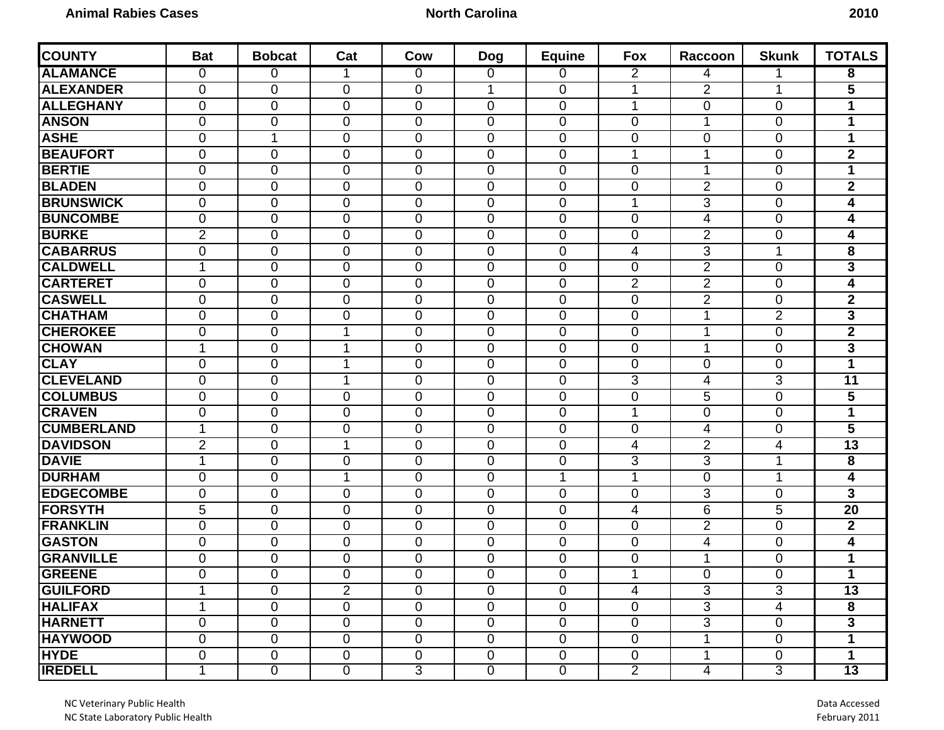## **North Carolina** 2010

| <b>COUNTY</b>     | <b>Bat</b>     | <b>Bobcat</b>  | Cat            | Cow            | <b>Dog</b>     | <b>Equine</b>  | <b>Fox</b>     | Raccoon        | <b>Skunk</b>   | <b>TOTALS</b>           |
|-------------------|----------------|----------------|----------------|----------------|----------------|----------------|----------------|----------------|----------------|-------------------------|
| <b>ALAMANCE</b>   | 0              | 0              |                | 0              | 0              | 0              | 2              | 4              | 1              | 8                       |
| <b>ALEXANDER</b>  | $\mathbf 0$    | $\mathbf 0$    | 0              | $\overline{0}$ | 1              | $\mathbf 0$    | $\mathbf 1$    | $\overline{2}$ | 1              | $\overline{\mathbf{5}}$ |
| <b>ALLEGHANY</b>  | $\mathbf 0$    | $\mathbf 0$    | 0              | $\overline{0}$ | 0              | $\mathbf 0$    | 1              | $\overline{0}$ | $\mathbf{0}$   | 1                       |
| <b>ANSON</b>      | $\mathbf 0$    | $\overline{0}$ | 0              | $\mathbf 0$    | 0              | $\mathbf 0$    | $\mathbf 0$    | 1              | $\mathbf 0$    | $\mathbf 1$             |
| <b>ASHE</b>       | $\mathbf 0$    | $\mathbf 1$    | 0              | $\mathbf 0$    | 0              | $\mathbf 0$    | $\mathbf 0$    | 0              | $\mathbf 0$    | 1                       |
| <b>BEAUFORT</b>   | 0              | $\overline{0}$ | 0              | $\overline{0}$ | $\overline{0}$ | $\mathbf 0$    | $\mathbf 1$    | 1              | $\mathbf{0}$   | $\mathbf{2}$            |
| <b>BERTIE</b>     | $\mathbf 0$    | $\mathbf 0$    | 0              | 0              | 0              | $\mathbf 0$    | $\mathbf 0$    | 1              | 0              | 1                       |
| <b>BLADEN</b>     | $\mathbf 0$    | $\overline{0}$ | 0              | $\mathbf 0$    | 0              | $\mathbf 0$    | $\mathbf 0$    | $\overline{2}$ | $\mathbf 0$    | $\mathbf{2}$            |
| <b>BRUNSWICK</b>  | 0              | $\mathbf 0$    | 0              | $\mathbf 0$    | 0              | 0              | $\mathbf 1$    | 3              | $\mathbf 0$    | 4                       |
| <b>BUNCOMBE</b>   | $\mathbf 0$    | $\mathbf 0$    | 0              | $\overline{0}$ | 0              | $\mathbf 0$    | $\mathbf 0$    | 4              | $\overline{0}$ | 4                       |
| <b>BURKE</b>      | $\overline{2}$ | $\mathbf{0}$   | 0              | $\overline{0}$ | 0              | $\mathbf 0$    | $\overline{0}$ | $\overline{2}$ | $\overline{0}$ | 4                       |
| <b>CABARRUS</b>   | $\mathbf 0$    | $\mathbf{0}$   | 0              | $\overline{0}$ | 0              | $\mathbf 0$    | 4              | 3              | $\mathbf 1$    | 8                       |
| <b>CALDWELL</b>   | 1              | $\mathbf 0$    | 0              | $\mathbf 0$    | 0              | $\mathbf 0$    | $\mathbf 0$    | $\overline{2}$ | $\mathbf{0}$   | $\overline{\mathbf{3}}$ |
| <b>CARTERET</b>   | $\mathbf 0$    | $\mathbf{0}$   | 0              | $\overline{0}$ | $\overline{0}$ | $\mathbf 0$    | $\overline{2}$ | $\overline{2}$ | $\overline{0}$ | 4                       |
| <b>CASWELL</b>    | 0              | $\mathbf{0}$   | 0              | $\overline{0}$ | 0              | $\mathbf 0$    | $\mathbf 0$    | $\overline{2}$ | $\mathbf{0}$   | $\mathbf{2}$            |
| <b>CHATHAM</b>    | $\mathbf 0$    | 0              | 0              | $\mathbf 0$    | 0              | $\mathbf 0$    | $\mathbf 0$    | 1              | $\overline{2}$ | $\overline{\mathbf{3}}$ |
| <b>CHEROKEE</b>   | 0              | 0              | 1              | 0              | 0              | 0              | 0              | 1              | $\mathbf 0$    | $\mathbf{2}$            |
| <b>CHOWAN</b>     | 1              | 0              | 1              | 0              | 0              | 0              | 0              | 1              | $\mathbf 0$    | 3                       |
| <b>CLAY</b>       | 0              | 0              | 1              | $\overline{0}$ | 0              | $\mathbf{0}$   | 0              | 0              | $\overline{0}$ | 1                       |
| <b>CLEVELAND</b>  | $\mathbf 0$    | 0              | 1              | $\mathbf 0$    | 0              | $\mathbf 0$    | 3              | 4              | 3              | 11                      |
| <b>COLUMBUS</b>   | 0              | 0              | 0              | 0              | $\overline{0}$ | 0              | 0              | 5              | $\mathbf{0}$   | 5                       |
| <b>CRAVEN</b>     | 0              | 0              | 0              | 0              | 0              | 0              | 1              | 0              | $\mathbf 0$    | 1                       |
| <b>CUMBERLAND</b> | 1              | $\Omega$       | 0              | $\overline{0}$ | 0              | $\mathbf 0$    | $\mathbf 0$    | 4              | $\Omega$       | $\overline{5}$          |
| <b>DAVIDSON</b>   | $\overline{2}$ | $\mathbf 0$    | 1              | $\mathbf 0$    | $\mathbf 0$    | 0              | 4              | $\overline{2}$ | 4              | $\overline{13}$         |
| <b>DAVIE</b>      | $\mathbf 1$    | $\mathbf 0$    | 0              | $\overline{0}$ | 0              | 0              | 3              | 3              | 1              | 8                       |
| <b>DURHAM</b>     | $\mathbf 0$    | $\mathbf 0$    | $\mathbf 1$    | $\overline{0}$ | 0              | $\mathbf{1}$   | 1              | $\overline{0}$ | 1              | $\overline{\mathbf{4}}$ |
| <b>EDGECOMBE</b>  | 0              | $\overline{0}$ | 0              | $\overline{0}$ | 0              | $\mathbf 0$    | 0              | 3              | $\Omega$       | $\overline{\mathbf{3}}$ |
| <b>FORSYTH</b>    | $\overline{5}$ | $\mathbf 0$    | 0              | $\mathbf 0$    | $\mathbf 0$    | $\pmb{0}$      | 4              | $\overline{6}$ | $\overline{5}$ | $\overline{20}$         |
| <b>FRANKLIN</b>   | $\mathbf 0$    | $\mathbf 0$    | 0              | $\overline{0}$ | $\overline{0}$ | $\mathbf 0$    | $\mathbf 0$    | $\overline{2}$ | $\Omega$       | $\mathbf{2}$            |
| <b>GASTON</b>     | 0              | $\mathbf 0$    | 0              | $\mathbf 0$    | 0              | $\mathbf 0$    | $\mathbf 0$    | 4              | 0              | $\overline{\mathbf{4}}$ |
| <b>GRANVILLE</b>  | 0              | $\overline{0}$ | 0              | $\mathbf 0$    | 0              | $\mathbf 0$    | $\mathbf 0$    | 1              | $\mathbf 0$    | 1                       |
| <b>GREENE</b>     | 0              | $\Omega$       | 0              | $\Omega$       | $\overline{0}$ | $\Omega$       | 1              | $\Omega$       | $\Omega$       | $\mathbf 1$             |
| <b>GUILFORD</b>   | 1              | 0              | $\overline{2}$ | 0              | $\mathbf 0$    | 0              | 4              | 3              | 3              | 13                      |
| <b>HALIFAX</b>    | 1              | $\overline{0}$ | 0              | $\overline{0}$ | 0              | $\overline{0}$ | $\mathbf 0$    | $\overline{3}$ | 4              | $\overline{\mathbf{8}}$ |
| <b>HARNETT</b>    | $\mathbf 0$    | $\overline{0}$ | 0              | $\mathbf 0$    | 0              | $\mathbf 0$    | $\mathbf 0$    | 3              | $\mathbf 0$    | 3                       |
| <b>HAYWOOD</b>    | $\pmb{0}$      | $\overline{0}$ | 0              | $\mathbf 0$    | 0              | $\overline{0}$ | $\mathbf 0$    |                | $\mathbf 0$    | 1                       |
| <b>HYDE</b>       | $\pmb{0}$      | $\overline{0}$ | 0              | $\mathbf 0$    | $\overline{0}$ | $\overline{0}$ | $\mathbf 0$    | 1              | $\mathbf 0$    | $\mathbf 1$             |
| <b>IREDELL</b>    | 1              | $\overline{0}$ | $\overline{0}$ | 3              | $\overline{0}$ | $\overline{0}$ | $\overline{2}$ | $\overline{4}$ | 3              | $\overline{13}$         |